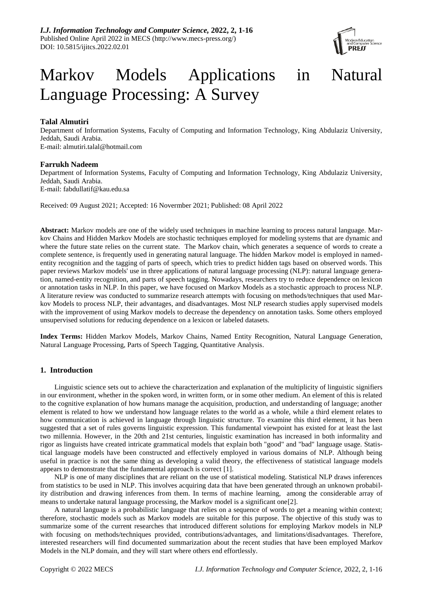

# Markov Models Applications in Natural Language Processing: A Survey

# **Talal Almutiri**

Department of Information Systems, Faculty of Computing and Information Technology, King Abdulaziz University, Jeddah, Saudi Arabia. [E-mail: almutiri.talal@hotmail.com](mailto:E-mail:%20almutiri.talal@hotmail.com) 

## **Farrukh Nadeem**

Department of Information Systems, Faculty of Computing and Information Technology, King Abdulaziz University, Jeddah, Saudi Arabia. [E-mail: fabdullatif@kau.edu.sa](mailto:E-mail:%20fabdullatif@kau.edu.sa)

Received: 09 August 2021; Accepted: 16 Novermber 2021; Published: 08 April 2022

**Abstract:** Markov models are one of the widely used techniques in machine learning to process natural language. Markov Chains and Hidden Markov Models are stochastic techniques employed for modeling systems that are dynamic and where the future state relies on the current state. The Markov chain, which generates a sequence of words to create a complete sentence, is frequently used in generating natural language. The hidden Markov model is employed in namedentity recognition and the tagging of parts of speech, which tries to predict hidden tags based on observed words. This paper reviews Markov models' use in three applications of natural language processing (NLP): natural language generation, named-entity recognition, and parts of speech tagging. Nowadays, researchers try to reduce dependence on lexicon or annotation tasks in NLP. In this paper, we have focused on Markov Models as a stochastic approach to process NLP. A literature review was conducted to summarize research attempts with focusing on methods/techniques that used Markov Models to process NLP, their advantages, and disadvantages. Most NLP research studies apply supervised models with the improvement of using Markov models to decrease the dependency on annotation tasks. Some others employed unsupervised solutions for reducing dependence on a lexicon or labeled datasets.

**Index Terms:** Hidden Markov Models, Markov Chains, Named Entity Recognition, Natural Language Generation, Natural Language Processing, Parts of Speech Tagging, Quantitative Analysis.

# **1. Introduction**

Linguistic science sets out to achieve the characterization and explanation of the multiplicity of linguistic signifiers in our environment, whether in the spoken word, in written form, or in some other medium. An element of this is related to the cognitive explanation of how humans manage the acquisition, production, and understanding of language; another element is related to how we understand how language relates to the world as a whole, while a third element relates to how communication is achieved in language through linguistic structure. To examine this third element, it has been suggested that a set of rules governs linguistic expression. This fundamental viewpoint has existed for at least the last two millennia. However, in the 20th and 21st centuries, linguistic examination has increased in both informality and rigor as linguists have created intricate grammatical models that explain both "good" and "bad" language usage. Statistical language models have been constructed and effectively employed in various domains of NLP. Although being useful in practice is not the same thing as developing a valid theory, the effectiveness of statistical language models appears to demonstrate that the fundamental approach is correct [1].

NLP is one of many disciplines that are reliant on the use of statistical modeling. Statistical NLP draws inferences from statistics to be used in NLP. This involves acquiring data that have been generated through an unknown probability distribution and drawing inferences from them. In terms of machine learning, among the considerable array of means to undertake natural language processing, the Markov model is a significant one[2].

A natural language is a probabilistic language that relies on a sequence of words to get a meaning within context; therefore, stochastic models such as Markov models are suitable for this purpose. The objective of this study was to summarize some of the current researches that introduced different solutions for employing Markov models in NLP with focusing on methods/techniques provided, contributions/advantages, and limitations/disadvantages. Therefore, interested researchers will find documented summarization about the recent studies that have been employed Markov Models in the NLP domain, and they will start where others end effortlessly.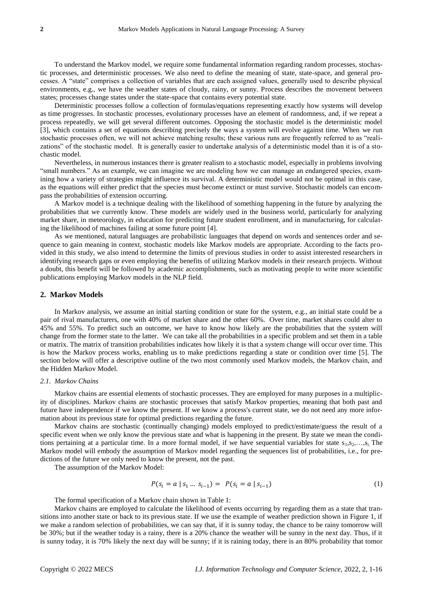To understand the Markov model, we require some fundamental information regarding random processes, stochastic processes, and deterministic processes. We also need to define the meaning of state, state-space, and general processes. A "state" comprises a collection of variables that are each assigned values, generally used to describe physical environments, e.g., we have the weather states of cloudy, rainy, or sunny. Process describes the movement between states; processes change states under the state-space that contains every potential state.

Deterministic processes follow a collection of formulas/equations representing exactly how systems will develop as time progresses. In stochastic processes, evolutionary processes have an element of randomness, and, if we repeat a process repeatedly, we will get several different outcomes. Opposing the stochastic model is the deterministic model [3], which contains a set of equations describing precisely the ways a system will evolve against time. When we run stochastic processes often, we will not achieve matching results; these various runs are frequently referred to as "realizations" of the stochastic model. It is generally easier to undertake analysis of a deterministic model than it is of a stochastic model.

Nevertheless, in numerous instances there is greater realism to a stochastic model, especially in problems involving "small numbers." As an example, we can imagine we are modeling how we can manage an endangered species, examining how a variety of strategies might influence its survival. A deterministic model would not be optimal in this case, as the equations will either predict that the species must become extinct or must survive. Stochastic models can encompass the probabilities of extension occurring.

A Markov model is a technique dealing with the likelihood of something happening in the future by analyzing the probabilities that we currently know. These models are widely used in the business world, particularly for analyzing market share, in meteorology, in education for predicting future student enrollment, and in manufacturing, for calculating the likelihood of machines failing at some future point [4].

As we mentioned, natural languages are probabilistic languages that depend on words and sentences order and sequence to gain meaning in context, stochastic models like Markov models are appropriate. According to the facts provided in this study, we also intend to determine the limits of previous studies in order to assist interested researchers in identifying research gaps or even employing the benefits of utilizing Markov models in their research projects. Without a doubt, this benefit will be followed by academic accomplishments, such as motivating people to write more scientific publications employing Markov models in the NLP field.

## **2. Markov Models**

In Markov analysis, we assume an initial starting condition or state for the system, e.g., an initial state could be a pair of rival manufacturers, one with 40% of market share and the other 60%. Over time, market shares could alter to 45% and 55%. To predict such an outcome, we have to know how likely are the probabilities that the system will change from the former state to the latter. We can take all the probabilities in a specific problem and set them in a table or matrix. The matrix of transition probabilities indicates how likely it is that a system change will occur over time. This is how the Markov process works, enabling us to make predictions regarding a state or condition over time [5]. The section below will offer a descriptive outline of the two most commonly used Markov models, the Markov chain, and the Hidden Markov Model.

## *2.1. Markov Chains*

Markov chains are essential elements of stochastic processes. They are employed for many purposes in a multiplicity of disciplines. Markov chains are stochastic processes that satisfy Markov properties, meaning that both past and future have independence if we know the present. If we know a process's current state, we do not need any more information about its previous state for optimal predictions regarding the future.

Markov chains are stochastic (continually changing) models employed to predict/estimate/guess the result of a specific event when we only know the previous state and what is happening in the present. By state we mean the conditions pertaining at a particular time. In a more formal model, if we have sequential variables for state  $s_1, s_2, \ldots, s_i$ . The Markov model will embody the assumption of Markov model regarding the sequences list of probabilities, i.e., for predictions of the future we only need to know the present, not the past.

The assumption of the Markov Model:

$$
P(s_i = a \mid s_1 \dots s_{i-1}) = P(s_i = a \mid s_{i-1})
$$
\n(1)

The formal specification of a Markov chain shown in Table 1:

Markov chains are employed to calculate the likelihood of events occurring by regarding them as a state that transitions into another state or back to its previous state. If we use the example of weather prediction shown in Figure 1, if we make a random selection of probabilities, we can say that, if it is sunny today, the chance to be rainy tomorrow will be 30%; but if the weather today is a rainy, there is a 20% chance the weather will be sunny in the next day. Thus, if it is sunny today, it is 70% likely the next day will be sunny; if it is raining today, there is an 80% probability that tomor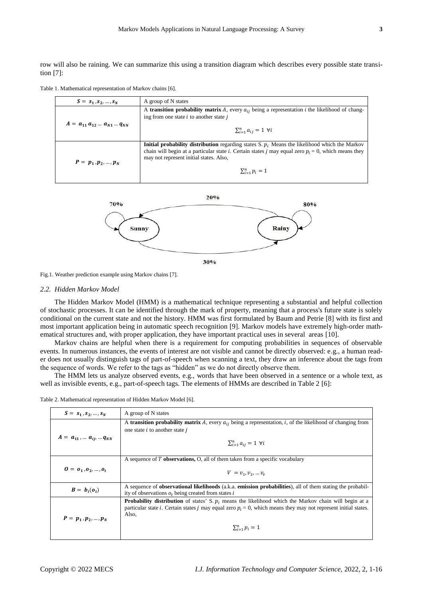row will also be raining. We can summarize this using a transition diagram which describes every possible state transition [7]:

Table 1. Mathematical representation of Markov chains [6].

| $S = s_1, s_2, , s_N$               | A group of N states                                                                                                                                                                                                                                            |
|-------------------------------------|----------------------------------------------------------------------------------------------------------------------------------------------------------------------------------------------------------------------------------------------------------------|
|                                     | A transition probability matrix A, every $a_{ij}$ being a representation i the likelihood of chang-<br>ing from one state $i$ to another state $j$                                                                                                             |
| $A = a_{11} a_{12}  a_{N1}  a_{NN}$ | $\sum_{i=1}^n a_{ij} = 1$ $\forall i$                                                                                                                                                                                                                          |
| $P = p_1, p_2, , p_N$               | <b>Initial probability distribution</b> regarding states S. $p_i$ . Means the likelihood which the Markov<br>chain will begin at a particular state i. Certain states j may equal zero $p_i = 0$ , which means they<br>may not represent initial states. Also, |
|                                     | $\sum_{i=1}^{n} p_i = 1$                                                                                                                                                                                                                                       |



Fig.1. Weather prediction example using Markov chains [7].

## *2.2. Hidden Markov Model*

 $\mathbf{r}$ 

The Hidden Markov Model (HMM) is a mathematical technique representing a substantial and helpful collection of stochastic processes. It can be identified through the mark of property, meaning that a process's future state is solely conditional on the current state and not the history. HMM was first formulated by Baum and Petrie [8] with its first and most important application being in automatic speech recognition [9]. Markov models have extremely high-order mathematical structures and, with proper application, they have important practical uses in several areas [10].

Markov chains are helpful when there is a requirement for computing probabilities in sequences of observable events. In numerous instances, the events of interest are not visible and cannot be directly observed: e.g., a human reader does not usually distinguish tags of part-of-speech when scanning a text, they draw an inference about the tags from the sequence of words. We refer to the tags as "hidden" as we do not directly observe them.

The HMM lets us analyze observed events, e.g., words that have been observed in a sentence or a whole text, as well as invisible events, e.g., part-of-speech tags. The elements of HMMs are described in Table 2 [6]:

| $S = s_1, s_2, , s_N$                                 | A group of N states                                                                                                                                                                                                                                                        |
|-------------------------------------------------------|----------------------------------------------------------------------------------------------------------------------------------------------------------------------------------------------------------------------------------------------------------------------------|
| $A = a_{11}, \dots a_{ij}, \dots q_{NN}$              | A transition probability matrix A, every $a_{ij}$ being a representation, i, of the likelihood of changing from<br>one state $i$ to another state $j$<br>$\sum_{i=1}^n a_{ij} = 1 \ \forall i$                                                                             |
| $0 = 0_1, 0_2, , 0_t$                                 | A sequence of T <b>observations</b> , O, all of them taken from a specific vocabulary<br>$V = v_1, v_2,  v_v$                                                                                                                                                              |
| $\boldsymbol{B} = \boldsymbol{b}_i(\boldsymbol{o}_t)$ | A sequence of <b>observational likelihoods</b> (a.k.a. <b>emission probabilities</b> ), all of them stating the probabil-<br>ity of observations $o_t$ being created from states i                                                                                         |
| $P = p_1, p_2, , p_N$                                 | <b>Probability distribution</b> of states' S. $p_i$ means the likelihood which the Markov chain will begin at a<br>particular state i. Certain states j may equal zero $p_i = 0$ , which means they may not represent initial states.<br>Also,<br>$\sum_{i=1}^{n} p_i = 1$ |

Table 2. Mathematical representation of Hidden Markov Model [6].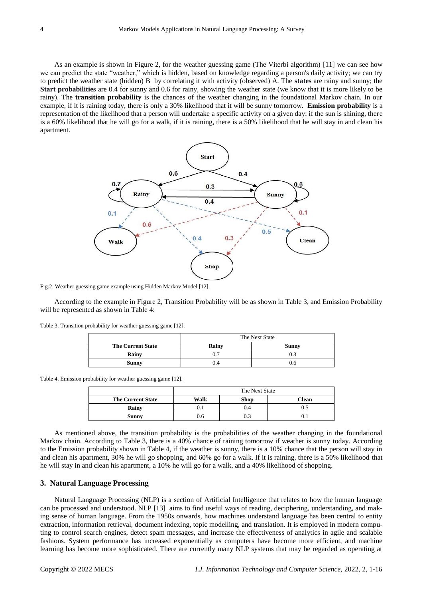As an example is shown in Figure 2, for the weather guessing game (The Viterbi algorithm) [11] we can see how we can predict the state "weather," which is hidden, based on knowledge regarding a person's daily activity; we can try to predict the weather state (hidden) B by correlating it with activity (observed) A. The **states** are rainy and sunny; the **Start probabilities** are 0.4 for sunny and 0.6 for rainy, showing the weather state (we know that it is more likely to be rainy). The **transition probability** is the chances of the weather changing in the foundational Markov chain. In our example, if it is raining today, there is only a 30% likelihood that it will be sunny tomorrow. **Emission probability** is a representation of the likelihood that a person will undertake a specific activity on a given day: if the sun is shining, there is a 60% likelihood that he will go for a walk, if it is raining, there is a 50% likelihood that he will stay in and clean his apartment.



Fig.2. Weather guessing game example using Hidden Markov Model [12].

According to the example in Figure 2, Transition Probability will be as shown in Table 3, and Emission Probability will be represented as shown in Table 4:

|  |  | Table 3. Transition probability for weather guessing game [12]. |  |  |  |
|--|--|-----------------------------------------------------------------|--|--|--|
|--|--|-----------------------------------------------------------------|--|--|--|

|                          |       | The Next State |
|--------------------------|-------|----------------|
| <b>The Current State</b> | Rainy | Sunny          |
| Rainy                    |       | U.:            |
| <b>Sunny</b>             | J.4   | J.O            |

Table 4. Emission probability for weather guessing game [12].

|                          |      | The Next State |       |
|--------------------------|------|----------------|-------|
| <b>The Current State</b> | Walk | <b>Shop</b>    | Clean |
| Rainy                    | U.I  | 0.4            | U.S   |
| Sunny                    | J.O  | U.3            | v. 1  |

As mentioned above, the transition probability is the probabilities of the weather changing in the foundational Markov chain. According to Table 3, there is a 40% chance of raining tomorrow if weather is sunny today. According to the Emission probability shown in Table 4, if the weather is sunny, there is a 10% chance that the person will stay in and clean his apartment, 30% he will go shopping, and 60% go for a walk. If it is raining, there is a 50% likelihood that he will stay in and clean his apartment, a 10% he will go for a walk, and a 40% likelihood of shopping.

#### **3. Natural Language Processing**

Natural Language Processing (NLP) is a section of Artificial Intelligence that relates to how the human language can be processed and understood. NLP [13] aims to find useful ways of reading, deciphering, understanding, and making sense of human language. From the 1950s onwards, how machines understand language has been central to entity extraction, information retrieval, document indexing, topic modelling, and translation. It is employed in modern computing to control search engines, detect spam messages, and increase the effectiveness of analytics in agile and scalable fashions. System performance has increased exponentially as computers have become more efficient, and machine learning has become more sophisticated. There are currently many NLP systems that may be regarded as operating at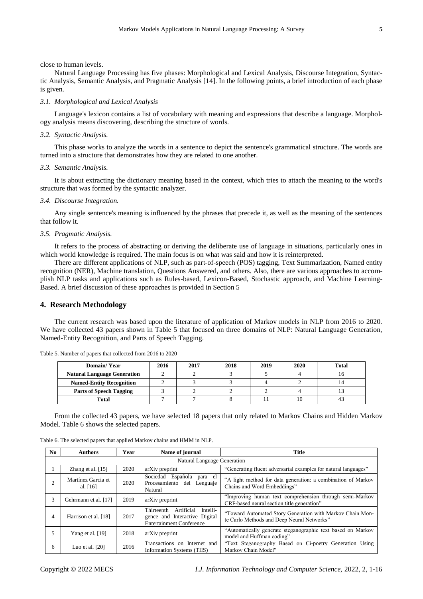close to human levels.

Natural Language Processing has five phases: Morphological and Lexical Analysis, Discourse Integration, Syntactic Analysis, Semantic Analysis, and Pragmatic Analysis [14]. In the following points, a brief introduction of each phase is given.

## *3.1. Morphological and Lexical Analysis*

Language's lexicon contains a list of vocabulary with meaning and expressions that describe a language. Morphology analysis means discovering, describing the structure of words.

## *3.2. Syntactic Analysis.*

This phase works to analyze the words in a sentence to depict the sentence's grammatical structure. The words are turned into a structure that demonstrates how they are related to one another.

## *3.3. Semantic Analysis.*

It is about extracting the dictionary meaning based in the context, which tries to attach the meaning to the word's structure that was formed by the syntactic analyzer.

## *3.4. Discourse Integration.*

Any single sentence's meaning is influenced by the phrases that precede it, as well as the meaning of the sentences that follow it.

## *3.5. Pragmatic Analysis.*

It refers to the process of abstracting or deriving the deliberate use of language in situations, particularly ones in which world knowledge is required. The main focus is on what was said and how it is reinterpreted.

There are different applications of NLP, such as part-of-speech (POS) tagging, Text Summarization, Named entity recognition (NER), Machine translation, Questions Answered, and others. Also, there are various approaches to accomplish NLP tasks and applications such as Rules-based, Lexicon-Based, Stochastic approach, and Machine Learning-Based. A brief discussion of these approaches is provided in Section 5

### **4. Research Methodology**

The current research was based upon the literature of application of Markov models in NLP from 2016 to 2020. We have collected 43 papers shown in Table 5 that focused on three domains of NLP: Natural Language Generation, Named-Entity Recognition, and Parts of Speech Tagging.

| Domain/Year                        | 2016 | 2017 | 2018 | 2019 | 2020 | <b>Total</b> |
|------------------------------------|------|------|------|------|------|--------------|
| <b>Natural Language Generation</b> |      |      |      |      |      |              |
| <b>Named-Entity Recognition</b>    |      |      |      |      |      |              |
| <b>Parts of Speech Tagging</b>     |      |      |      |      |      |              |
| Total                              |      |      |      |      |      |              |

Table 5. Number of papers that collected from 2016 to 2020

From the collected 43 papers, we have selected 18 papers that only related to Markov Chains and Hidden Markov Model. Table 6 shows the selected papers.

| No.            | <b>Authors</b>                   | Year | Name of journal                                                                                          | <b>Title</b>                                                                                            |
|----------------|----------------------------------|------|----------------------------------------------------------------------------------------------------------|---------------------------------------------------------------------------------------------------------|
|                |                                  |      | Natural Language Generation                                                                              |                                                                                                         |
|                | Zhang et al. $[15]$              | 2020 | arXiv preprint                                                                                           | "Generating fluent adversarial examples for natural languages"                                          |
| $\overline{c}$ | Mart nez Garcia et<br>al. $[16]$ | 2020 | Sociedad Española<br>para el<br>Procesamiento del<br>Lenguaje<br>Natural                                 | "A light method for data generation: a combination of Markov<br>Chains and Word Embeddings"             |
| 3              | Gehrmann et al. [17]             | 2019 | arXiv preprint                                                                                           | "Improving human text comprehension through semi-Markov<br>CRF-based neural section title generation"   |
| 4              | Harrison et al. [18]             | 2017 | Artificial<br>Thirteenth<br>Intelli-<br>gence and Interactive Digital<br><b>Entertainment Conference</b> | "Toward Automated Story Generation with Markov Chain Mon-<br>te Carlo Methods and Deep Neural Networks" |
| 5              | Yang et al. [19]                 | 2018 | arXiv preprint                                                                                           | "Automatically generate steganographic text based on Markov<br>model and Huffman coding"                |
| 6              | Luo et al. $[20]$                | 2016 | Transactions on<br>Internet and<br>Information Systems (TIIS)                                            | "Text Steganography Based on Ci-poetry Generation Using<br>Markov Chain Model"                          |

Table 6. The selected papers that applied Markov chains and HMM in NLP.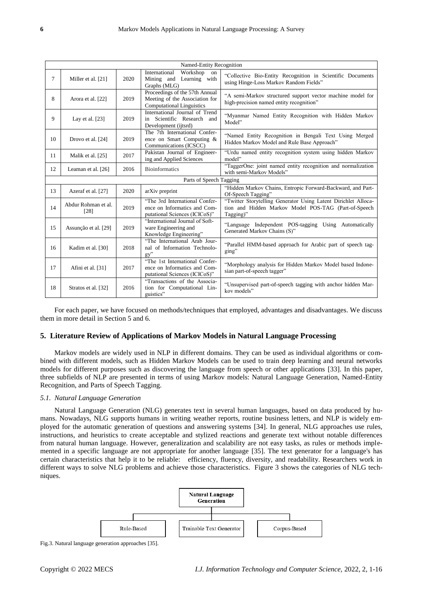|        | Named-Entity Recognition    |      |                                                                                                      |                                                                                                                                     |  |  |  |
|--------|-----------------------------|------|------------------------------------------------------------------------------------------------------|-------------------------------------------------------------------------------------------------------------------------------------|--|--|--|
| $\tau$ | Miller et al. [21]          | 2020 | International<br>Workshop<br>on<br>Mining and<br>Learning with<br>Graphs (MLG)                       | "Collective Bio-Entity Recognition in Scientific Documents<br>using Hinge-Loss Markov Random Fields"                                |  |  |  |
| 8      | Arora et al. [22]           | 2019 | Proceedings of the 57th Annual<br>Meeting of the Association for<br><b>Computational Linguistics</b> | "A semi-Markov structured support vector machine model for<br>high-precision named entity recognition"                              |  |  |  |
| 9      | Lay et al. $[23]$           | 2019 | International Journal of Trend<br>in Scientific Research and<br>Development (ijtsrd)                 | "Myanmar Named Entity Recognition with Hidden Markov<br>Model"                                                                      |  |  |  |
| 10     | Drovo et al. [24]           | 2019 | The 7th International Confer-<br>ence on Smart Computing &<br>Communications (ICSCC)                 | "Named Entity Recognition in Bengali Text Using Merged<br>Hidden Markov Model and Rule Base Approach"                               |  |  |  |
| 11     | Malik et al. [25]           | 2017 | Pakistan Journal of Engineer-<br>ing and Applied Sciences                                            | "Urdu named entity recognition system using hidden Markov<br>model"                                                                 |  |  |  |
| 12     | Leaman et al. [26]          | 2016 | <b>Bioinformatics</b>                                                                                | "TaggerOne: joint named entity recognition and normalization<br>with semi-Markov Models"                                            |  |  |  |
|        |                             |      | Parts of Speech Tagging                                                                              |                                                                                                                                     |  |  |  |
| 13     | Azeraf et al. [27]          | 2020 | arXiv preprint                                                                                       | "Hidden Markov Chains, Entropic Forward-Backward, and Part-<br>Of-Speech Tagging"                                                   |  |  |  |
| 14     | Abdur Rohman et al.<br>[28] | 2019 | "The 3rd International Confer-<br>ence on Informatics and Com-<br>putational Sciences (ICICoS)"      | "Twitter Storytelling Generator Using Latent Dirichlet Alloca-<br>tion and Hidden Markov Model POS-TAG (Part-of-Speech<br>Tagging)" |  |  |  |
| 15     | Assun ção et al. [29]       | 2019 | "International Journal of Soft-<br>ware Engineering and<br>Knowledge Engineering"                    | "Language Independent POS-tagging Using Automatically<br>Generated Markov Chains (S)"                                               |  |  |  |
| 16     | Kadim et al. [30]           | 2018 | "The International Arab Jour-<br>nal of Information Technolo-<br>gy''                                | "Parallel HMM-based approach for Arabic part of speech tag-<br>ging"                                                                |  |  |  |
| 17     | Afini et al. [31]           | 2017 | "The 1st International Confer-<br>ence on Informatics and Com-<br>putational Sciences (ICICoS)"      | "Morphology analysis for Hidden Markov Model based Indone-<br>sian part-of-speech tagger"                                           |  |  |  |
| 18     | Stratos et al. [32]         | 2016 | "Transactions of the Associa-<br>tion for Computational Lin-<br>guistics"                            | "Unsupervised part-of-speech tagging with anchor hidden Mar-<br>kov models"                                                         |  |  |  |

For each paper, we have focused on methods/techniques that employed, advantages and disadvantages. We discuss them in more detail in Section 5 and 6.

## **5. Literature Review of Applications of Markov Models in Natural Language Processing**

Markov models are widely used in NLP in different domains. They can be used as individual algorithms or combined with different models, such as Hidden Markov Models can be used to train deep learning and neural networks models for different purposes such as discovering the language from speech or other applications [33]. In this paper, three subfields of NLP are presented in terms of using Markov models: Natural Language Generation, Named-Entity Recognition, and Parts of Speech Tagging.

## *5.1. Natural Language Generation*

Natural Language Generation (NLG) generates text in several human languages, based on data produced by humans. Nowadays, NLG supports humans in writing weather reports, routine business letters, and NLP is widely employed for the automatic generation of questions and answering systems [34]. In general, NLG approaches use rules, instructions, and heuristics to create acceptable and stylized reactions and generate text without notable differences from natural human language. However, generalization and scalability are not easy tasks, as rules or methods implemented in a specific language are not appropriate for another language [35]. The text generator for a language's has certain characteristics that help it to be reliable: efficiency, fluency, diversity, and readability. Researchers work in different ways to solve NLG problems and achieve those characteristics. Figure 3 shows the categories of NLG techniques.

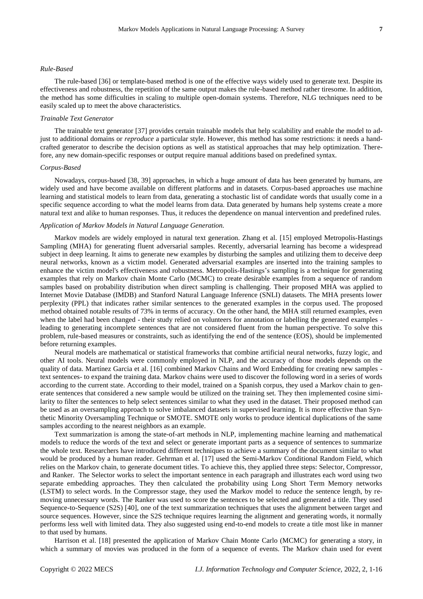#### *Rule-Based*

The rule-based [36] or template-based method is one of the effective ways widely used to generate text. Despite its effectiveness and robustness, the repetition of the same output makes the rule-based method rather tiresome. In addition, the method has some difficulties in scaling to multiple open-domain systems. Therefore, NLG techniques need to be easily scaled up to meet the above characteristics.

## *Trainable Text Generator*

The trainable text generator [37] provides certain trainable models that help scalability and enable the model to adjust to additional domains or *reproduce* a particular style. However, this method has some restrictions: it needs a handcrafted generator to describe the decision options as well as statistical approaches that may help optimization. Therefore, any new domain-specific responses or output require manual additions based on predefined syntax.

## *Corpus-Based*

Nowadays, corpus-based [38, 39] approaches, in which a huge amount of data has been generated by humans, are widely used and have become available on different platforms and in datasets. Corpus-based approaches use machine learning and statistical models to learn from data, generating a stochastic list of candidate words that usually come in a specific sequence according to what the model learns from data. Data generated by humans help systems create a more natural text and alike to human responses. Thus, it reduces the dependence on manual intervention and predefined rules.

#### *Application of Markov Models in Natural Language Generation.*

Markov models are widely employed in natural text generation. Zhang et al. [15] employed Metropolis-Hastings Sampling (MHA) for generating fluent adversarial samples. Recently, adversarial learning has become a widespread subject in deep learning. It aims to generate new examples by disturbing the samples and utilizing them to deceive deep neural networks, known as a victim model. Generated adversarial examples are inserted into the training samples to enhance the victim model's effectiveness and robustness. Metropolis-Hastings's sampling is a technique for generating examples that rely on Markov chain Monte Carlo (MCMC) to create desirable examples from a sequence of random samples based on probability distribution when direct sampling is challenging. Their proposed MHA was applied to Internet Movie Database (IMDB) and Stanford Natural Language Inference (SNLI) datasets. The MHA presents lower perplexity (PPL) that indicates rather similar sentences to the generated examples in the corpus used. The proposed method obtained notable results of 73% in terms of accuracy. On the other hand, the MHA still returned examples, even when the label had been changed - their study relied on volunteers for annotation or labelling the generated examples leading to generating incomplete sentences that are not considered fluent from the human perspective. To solve this problem, rule-based measures or constraints, such as identifying the end of the sentence (EOS), should be implemented before returning examples.

Neural models are mathematical or statistical frameworks that combine artificial neural networks, fuzzy logic, and other AI tools. Neural models were commonly employed in NLP, and the accuracy of those models depends on the quality of data. Mart fiez Garcia et al. [16] combined Markov Chains and Word Embedding for creating new samples text sentences- to expand the training data. Markov chains were used to discover the following word in a series of words according to the current state. According to their model, trained on a Spanish corpus, they used a Markov chain to generate sentences that considered a new sample would be utilized on the training set. They then implemented cosine similarity to filter the sentences to help select sentences similar to what they used in the dataset. Their proposed method can be used as an oversampling approach to solve imbalanced datasets in supervised learning. It is more effective than Synthetic Minority Oversampling Technique or SMOTE. SMOTE only works to produce identical duplications of the same samples according to the nearest neighbors as an example.

Text summarization is among the state-of-art methods in NLP, implementing machine learning and mathematical models to reduce the words of the text and select or generate important parts as a sequence of sentences to summarize the whole text. Researchers have introduced different techniques to achieve a summary of the document similar to what would be produced by a human reader. Gehrman et al. [17] used the Semi-Markov Conditional Random Field, which relies on the Markov chain, to generate document titles. To achieve this, they applied three steps: Selector, Compressor, and Ranker. The Selector works to select the important sentence in each paragraph and illustrates each word using two separate embedding approaches. They then calculated the probability using Long Short Term Memory networks (LSTM) to select words. In the Compressor stage, they used the Markov model to reduce the sentence length, by removing unnecessary words. The Ranker was used to score the sentences to be selected and generated a title. They used Sequence-to-Sequence (S2S) [40], one of the text summarization techniques that uses the alignment between target and source sequences. However, since the S2S technique requires learning the alignment and generating words, it normally performs less well with limited data. They also suggested using end-to-end models to create a title most like in manner to that used by humans.

Harrison et al. [18] presented the application of Markov Chain Monte Carlo (MCMC) for generating a story, in which a summary of movies was produced in the form of a sequence of events. The Markov chain used for event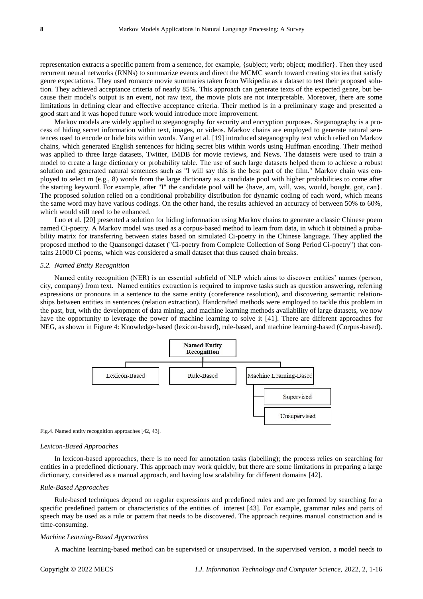representation extracts a specific pattern from a sentence, for example, {subject; verb; object; modifier}. Then they used recurrent neural networks (RNNs) to summarize events and direct the MCMC search toward creating stories that satisfy genre expectations. They used romance movie summaries taken from Wikipedia as a dataset to test their proposed solution. They achieved acceptance criteria of nearly 85%. This approach can generate texts of the expected genre, but because their model's output is an event, not raw text, the movie plots are not interpretable. Moreover, there are some limitations in defining clear and effective acceptance criteria. Their method is in a preliminary stage and presented a good start and it was hoped future work would introduce more improvement.

Markov models are widely applied to steganography for security and encryption purposes. Steganography is a process of hiding secret information within text, images, or videos. Markov chains are employed to generate natural sentences used to encode or hide bits within words. Yang et al. [19] introduced steganography text which relied on Markov chains, which generated English sentences for hiding secret bits within words using Huffman encoding. Their method was applied to three large datasets, Twitter, IMDB for movie reviews, and News. The datasets were used to train a model to create a large dictionary or probability table. The use of such large datasets helped them to achieve a robust solution and generated natural sentences such as "I will say this is the best part of the film." Markov chain was employed to select m (e.g., 8) words from the large dictionary as a candidate pool with higher probabilities to come after the starting keyword. For example, after "I" the candidate pool will be {have, am, will, was, would, bought, got, can}. The proposed solution relied on a conditional probability distribution for dynamic coding of each word, which means the same word may have various codings. On the other hand, the results achieved an accuracy of between 50% to 60%, which would still need to be enhanced.

Luo et al. [20] presented a solution for hiding information using Markov chains to generate a classic Chinese poem named Ci-poetry. A Markov model was used as a corpus-based method to learn from data, in which it obtained a probability matrix for transferring between states based on simulated Ci-poetry in the Chinese language. They applied the proposed method to the Quansongci dataset ("Ci-poetry from Complete Collection of Song Period Ci-poetry") that contains 21000 Ci poems, which was considered a small dataset that thus caused chain breaks.

## *5.2. Named Entity Recognition*

Named entity recognition (NER) is an essential subfield of NLP which aims to discover entities' names (person, city, company) from text. Named entities extraction is required to improve tasks such as question answering, referring expressions or pronouns in a sentence to the same entity (coreference resolution), and discovering semantic relationships between entities in sentences (relation extraction). Handcrafted methods were employed to tackle this problem in the past, but, with the development of data mining, and machine learning methods availability of large datasets, we now have the opportunity to leverage the power of machine learning to solve it [41]. There are different approaches for NEG, as shown in Figure 4: Knowledge-based (lexicon-based), rule-based, and machine learning-based (Corpus-based).



Fig.4. Named entity recognition approaches [42, 43].

#### *Lexicon-Based Approaches*

In lexicon-based approaches, there is no need for annotation tasks (labelling); the process relies on searching for entities in a predefined dictionary. This approach may work quickly, but there are some limitations in preparing a large dictionary, considered as a manual approach, and having low scalability for different domains [42].

## *Rule-Based Approaches*

Rule-based techniques depend on regular expressions and predefined rules and are performed by searching for a specific predefined pattern or characteristics of the entities of interest [43]. For example, grammar rules and parts of speech may be used as a rule or pattern that needs to be discovered. The approach requires manual construction and is time-consuming.

#### *Machine Learning-Based Approaches*

A machine learning-based method can be supervised or unsupervised. In the supervised version, a model needs to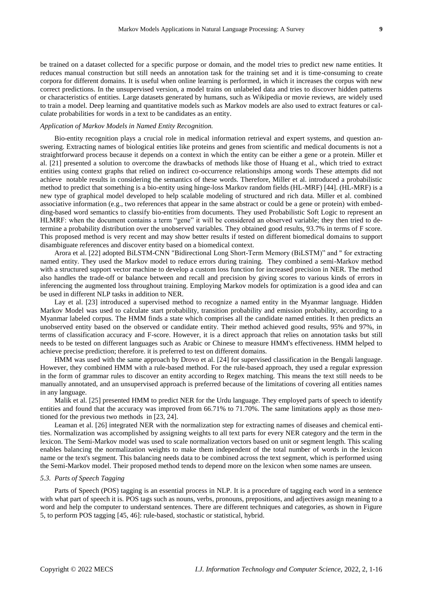be trained on a dataset collected for a specific purpose or domain, and the model tries to predict new name entities. It reduces manual construction but still needs an annotation task for the training set and it is time-consuming to create corpora for different domains. It is useful when online learning is performed, in which it increases the corpus with new correct predictions. In the unsupervised version, a model trains on unlabeled data and tries to discover hidden patterns or characteristics of entities. Large datasets generated by humans, such as Wikipedia or movie reviews, are widely used to train a model. Deep learning and quantitative models such as Markov models are also used to extract features or calculate probabilities for words in a text to be candidates as an entity.

## *Application of Markov Models in Named Entity Recognition.*

Bio-entity recognition plays a crucial role in medical information retrieval and expert systems, and question answering. Extracting names of biological entities like proteins and genes from scientific and medical documents is not a straightforward process because it depends on a context in which the entity can be either a gene or a protein. Miller et al. [21] presented a solution to overcome the drawbacks of methods like those of Huang et al., which tried to extract entities using context graphs that relied on indirect co-occurrence relationships among words These attempts did not achieve notable results in considering the semantics of these words. Therefore, Miller et al. introduced a probabilistic method to predict that something is a bio-entity using hinge-loss Markov random fields (HL-MRF) [44]. (HL-MRF) is a new type of graphical model developed to help scalable modeling of structured and rich data. Miller et al. combined associative information (e.g., two references that appear in the same abstract or could be a gene or protein) with embedding-based word semantics to classify bio-entities from documents. They used Probabilistic Soft Logic to represent an HLMRF: when the document contains a term "gene" it will be considered an observed variable; they then tried to determine a probability distribution over the unobserved variables. They obtained good results, 93.7% in terms of F score. This proposed method is very recent and may show better results if tested on different biomedical domains to support disambiguate references and discover entity based on a biomedical context.

Arora et al. [22] adopted BiLSTM-CNN "Bidirectional Long Short-Term Memory (BiLSTM)" and " for extracting named entity. They used the Markov model to reduce errors during training. They combined a semi-Markov method with a structured support vector machine to develop a custom loss function for increased precision in NER. The method also handles the trade-off or balance between and recall and precision by giving scores to various kinds of errors in inferencing the augmented loss throughout training. Employing Markov models for optimization is a good idea and can be used in different NLP tasks in addition to NER.

Lay et al. [23] introduced a supervised method to recognize a named entity in the Myanmar language. Hidden Markov Model was used to calculate start probability, transition probability and emission probability, according to a Myanmar labeled corpus. The HMM finds a state which comprises all the candidate named entities. It then predicts an unobserved entity based on the observed or candidate entity. Their method achieved good results, 95% and 97%, in terms of classification accuracy and F-score. However, it is a direct approach that relies on annotation tasks but still needs to be tested on different languages such as Arabic or Chinese to measure HMM's effectiveness. HMM helped to achieve precise prediction; therefore. it is preferred to test on different domains.

HMM was used with the same approach by Drovo et al. [24] for supervised classification in the Bengali language. However, they combined HMM with a rule-based method. For the rule-based approach, they used a regular expression in the form of grammar rules to discover an entity according to Regex matching. This means the text still needs to be manually annotated, and an unsupervised approach is preferred because of the limitations of covering all entities names in any language.

Malik et al. [25] presented HMM to predict NER for the Urdu language. They employed parts of speech to identify entities and found that the accuracy was improved from 66.71% to 71.70%. The same limitations apply as those mentioned for the previous two methods in [23, 24].

Leaman et al. [26] integrated NER with the normalization step for extracting names of diseases and chemical entities. Normalization was accomplished by assigning weights to all text parts for every NER category and the term in the lexicon. The Semi-Markov model was used to scale normalization vectors based on unit or segment length. This scaling enables balancing the normalization weights to make them independent of the total number of words in the lexicon name or the text's segment. This balancing needs data to be combined across the text segment, which is performed using the Semi-Markov model. Their proposed method tends to depend more on the lexicon when some names are unseen.

## *5.3. Parts of Speech Tagging*

Parts of Speech (POS) tagging is an essential process in NLP. It is a procedure of tagging each word in a sentence with what part of speech it is. POS tags such as nouns, verbs, pronouns, prepositions, and adjectives assign meaning to a word and help the computer to understand sentences. There are different techniques and categories, as shown in Figure 5, to perform POS tagging [45, 46]: rule-based, stochastic or statistical, hybrid.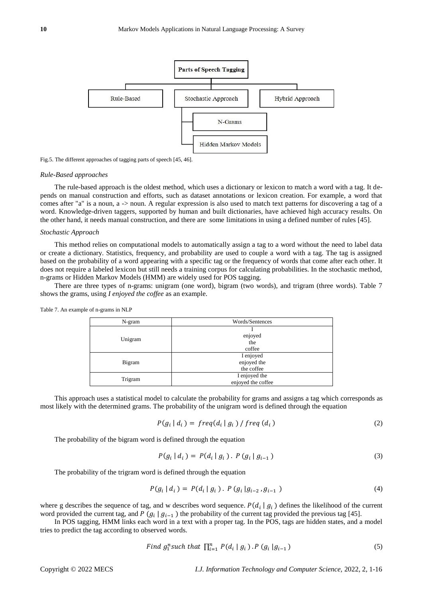

Fig.5. The different approaches of tagging parts of speech [45, 46].

#### *Rule-Based approaches*

The rule-based approach is the oldest method, which uses a dictionary or lexicon to match a word with a tag. It depends on manual construction and efforts, such as dataset annotations or lexicon creation. For example, a word that comes after "a" is a noun, a -> noun. A regular expression is also used to match text patterns for discovering a tag of a word. Knowledge-driven taggers, supported by human and built dictionaries, have achieved high accuracy results. On the other hand, it needs manual construction, and there are some limitations in using a defined number of rules [45].

## *Stochastic Approach*

This method relies on computational models to automatically assign a tag to a word without the need to label data or create a dictionary. Statistics, frequency, and probability are used to couple a word with a tag. The tag is assigned based on the probability of a word appearing with a specific tag or the frequency of words that come after each other. It does not require a labeled lexicon but still needs a training corpus for calculating probabilities. In the stochastic method, n-grams or Hidden Markov Models (HMM) are widely used for POS tagging.

There are three types of n-grams: unigram (one word), bigram (two words), and trigram (three words). Table 7 shows the grams, using *I enjoyed the coffee* as an example.

| N-gram  | Words/Sentences    |
|---------|--------------------|
|         |                    |
| Unigram | enjoyed            |
|         | the                |
|         | coffee             |
|         | I enjoyed          |
| Bigram  | enjoyed the        |
|         | the coffee         |
|         | I enjoyed the      |
| Trigram | enjoyed the coffee |

Table 7. An example of n-grams in NLP

This approach uses a statistical model to calculate the probability for grams and assigns a tag which corresponds as most likely with the determined grams. The probability of the unigram word is defined through the equation

$$
P(g_i | d_i) = freq(d_i | g_i) / freq(d_i)
$$
\n(2)

The probability of the bigram word is defined through the equation

$$
P(g_i | d_i) = P(d_i | g_i). P(g_i | g_{i-1})
$$
\n(3)

The probability of the trigram word is defined through the equation

$$
P(g_i | d_i) = P(d_i | g_i). \ P(g_i | g_{i-2}, g_{i-1}) \tag{4}
$$

where g describes the sequence of tag, and w describes word sequence.  $P(d_i | g_i)$  defines the likelihood of the current word provided the current tag, and P  $(g_i | g_{i-1})$  the probability of the current tag provided the previous tag [45].

In POS tagging, HMM links each word in a text with a proper tag. In the POS, tags are hidden states, and a model tries to predict the tag according to observed words.

Find 
$$
g_1^n
$$
 such that  $\prod_{i=1}^n P(d_i | g_i) \cdot P(g_i | g_{i-1})$  (5)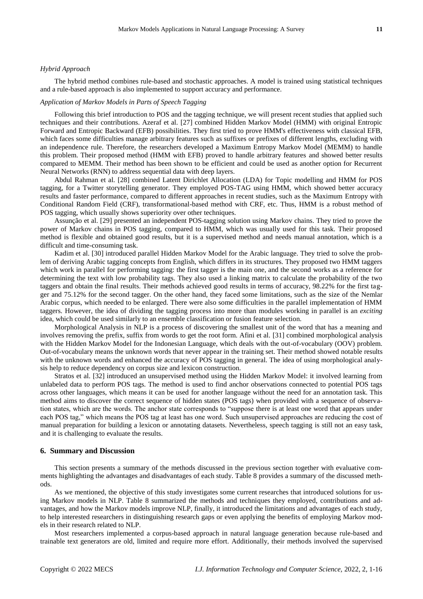## *Hybrid Approach*

The hybrid method combines rule-based and stochastic approaches. A model is trained using statistical techniques and a rule-based approach is also implemented to support accuracy and performance.

## *Application of Markov Models in Parts of Speech Tagging*

Following this brief introduction to POS and the tagging technique, we will present recent studies that applied such techniques and their contributions. Azeraf et al. [27] combined Hidden Markov Model (HMM) with original Entropic Forward and Entropic Backward (EFB) possibilities. They first tried to prove HMM's effectiveness with classical EFB, which faces some difficulties manage arbitrary features such as suffixes or prefixes of different lengths, excluding with an independence rule. Therefore, the researchers developed a Maximum Entropy Markov Model (MEMM) to handle this problem. Their proposed method (HMM with EFB) proved to handle arbitrary features and showed better results compared to MEMM. Their method has been shown to be efficient and could be used as another option for Recurrent Neural Networks (RNN) to address sequential data with deep layers.

Abdul Rahman et al. [28] combined Latent Dirichlet Allocation (LDA) for Topic modelling and HMM for POS tagging, for a Twitter storytelling generator. They employed POS-TAG using HMM, which showed better accuracy results and faster performance, compared to different approaches in recent studies, such as the Maximum Entropy with Conditional Random Field (CRF), transformational-based method with CRF, etc. Thus, HMM is a robust method of POS tagging, which usually shows superiority over other techniques.

Assunção et al. [29] presented an independent POS-tagging solution using Markov chains. They tried to prove the power of Markov chains in POS tagging, compared to HMM, which was usually used for this task. Their proposed method is flexible and obtained good results, but it is a supervised method and needs manual annotation, which is a difficult and time-consuming task.

Kadim et al. [30] introduced parallel Hidden Markov Model for the Arabic language. They tried to solve the problem of deriving Arabic tagging concepts from English, which differs in its structures. They proposed two HMM taggers which work in parallel for performing tagging: the first tagger is the main one, and the second works as a reference for determining the text with low probability tags. They also used a linking matrix to calculate the probability of the two taggers and obtain the final results. Their methods achieved good results in terms of accuracy, 98.22% for the first tagger and 75.12% for the second tagger. On the other hand, they faced some limitations, such as the size of the Nemlar Arabic corpus, which needed to be enlarged. There were also some difficulties in the parallel implementation of HMM taggers. However, the idea of dividing the tagging process into more than modules working in parallel is an *exciting* idea, which could be used similarly to an ensemble classification or fusion feature selection.

Morphological Analysis in NLP is a process of discovering the smallest unit of the word that has a meaning and involves removing the prefix, suffix from words to get the root form. Afini et al. [31] combined morphological analysis with the Hidden Markov Model for the Indonesian Language, which deals with the out-of-vocabulary (OOV) problem. Out-of-vocabulary means the unknown words that never appear in the training set. Their method showed notable results with the unknown words and enhanced the accuracy of POS tagging in general. The idea of using morphological analysis help to reduce dependency on corpus size and lexicon construction.

Stratos et al. [32] introduced an unsupervised method using the Hidden Markov Model: it involved learning from unlabeled data to perform POS tags. The method is used to find anchor observations connected to potential POS tags across other languages, which means it can be used for another language without the need for an annotation task. This method aims to discover the correct sequence of hidden states (POS tags) when provided with a sequence of observation states, which are the words. The anchor state corresponds to "suppose there is at least one word that appears under each POS tag," which means the POS tag at least has one word. Such unsupervised approaches are reducing the cost of manual preparation for building a lexicon or annotating datasets. Nevertheless, speech tagging is still not an easy task, and it is challenging to evaluate the results.

#### **6. Summary and Discussion**

This section presents a summary of the methods discussed in the previous section together with evaluative comments highlighting the advantages and disadvantages of each study. Table 8 provides a summary of the discussed methods.

As we mentioned, the objective of this study investigates some current researches that introduced solutions for using Markov models in NLP. Table 8 summarized the methods and techniques they employed, contributions and advantages, and how the Markov models improve NLP, finally, it introduced the limitations and advantages of each study, to help interested researchers in distinguishing research gaps or even applying the benefits of employing Markov models in their research related to NLP.

Most researchers implemented a corpus-based approach in natural language generation because rule-based and trainable text generators are old, limited and require more effort. Additionally, their methods involved the supervised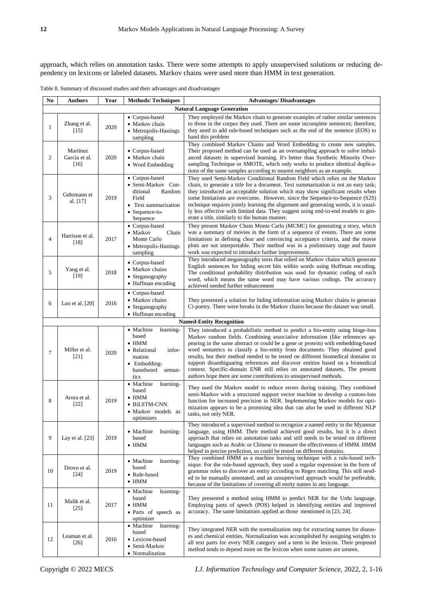approach, which relies on annotation tasks. There were some attempts to apply unsupervised solutions or reducing dependency on lexicons or labeled datasets. Markov chains were used more than HMM in text generation.

|  |  |  |  | Table 8. Summary of discussed studies and their advantages and disadvantages |
|--|--|--|--|------------------------------------------------------------------------------|
|--|--|--|--|------------------------------------------------------------------------------|

| No             | <b>Authors</b>                      | Year | <b>Methods/Techniques</b>                                                                                                                | <b>Advantages/Disadvantages</b>                                                                                                                                                                                                                                                                                                                                                                                                                                                                                                                                                                                                                              |  |  |  |
|----------------|-------------------------------------|------|------------------------------------------------------------------------------------------------------------------------------------------|--------------------------------------------------------------------------------------------------------------------------------------------------------------------------------------------------------------------------------------------------------------------------------------------------------------------------------------------------------------------------------------------------------------------------------------------------------------------------------------------------------------------------------------------------------------------------------------------------------------------------------------------------------------|--|--|--|
|                | <b>Natural Language Generation</b>  |      |                                                                                                                                          |                                                                                                                                                                                                                                                                                                                                                                                                                                                                                                                                                                                                                                                              |  |  |  |
| 1              | Zhang et al.<br>$[15]$              | 2020 | • Corpus-based<br>• Markov chain<br>• Metropolis-Hastings<br>sampling                                                                    | They employed the Markov chain to generate examples of rather similar sentences<br>to those in the corpus they used. There are some incomplete sentences; therefore,<br>they need to add rule-based techniques such as the end of the sentence (EOS) to<br>hand this problem                                                                                                                                                                                                                                                                                                                                                                                 |  |  |  |
| $\overline{c}$ | Mart nez<br>Garcia et al.<br>$[16]$ | 2020 | • Corpus-based<br>• Markov chain<br>• Word Embedding                                                                                     | They combined Markov Chains and Word Embedding to create new samples.<br>Their proposed method can be used as an oversampling approach to solve imbal-<br>anced datasets in supervised learning. It's better than Synthetic Minority Over-<br>sampling Technique or SMOTE, which only works to produce identical duplica-<br>tions of the same samples according to nearest neighbors as an example.                                                                                                                                                                                                                                                         |  |  |  |
| 3              | Gehrmann et<br>al. [17]             | 2019 | • Corpus-based<br>• Semi-Markov Con-<br>ditional<br>Random<br>Field<br>• Text summarization<br>• Sequence-to-<br>Sequence                | They used Semi-Markov Conditional Random Field which relies on the Markov<br>chain, to generate a title for a document. Text summarization is not an easy task;<br>they introduced an acceptable solution which may show significant results when<br>some limitations are overcome. However, since the Sequence-to-Sequence (S2S)<br>technique requires jointly learning the alignment and generating words, it is usual-<br>ly less effective with limited data. They suggest using end-to-end models to gen-<br>erate a title, similarly to the human manner.                                                                                              |  |  |  |
| $\overline{4}$ | Harrison et al.<br>[18]             | 2017 | $\bullet\,$ Corpus-based<br>• Markov<br>Chain<br>Monte Carlo<br>• Metropolis-Hastings<br>sampling                                        | They present Markov Chain Monte Carlo (MCMC) for generating a story, which<br>was a summary of movies in the form of a sequence of events. There are some<br>limitations in defining clear and convincing acceptance criteria, and the movie<br>plots are not interpretable. Their method was in a preliminary stage and future<br>work was expected to introduce further improvement.                                                                                                                                                                                                                                                                       |  |  |  |
| 5              | Yang et al.<br>$[19]$               | 2018 | • Corpus-based<br>• Markov chains<br>• Steganography<br>• Huffman encoding                                                               | They introduced steganography texts that relied on Markov chains which generate<br>English sentences for hiding secret bits within words using Huffman encoding.<br>The conditional probability distribution was used for dynamic coding of each<br>word, which means the same word may have various codings. The accuracy<br>achieved needed further enhancement                                                                                                                                                                                                                                                                                            |  |  |  |
| 6              | Luo et al. [20]                     | 2016 | • Corpus-based<br>• Markov chains<br>• Steganography<br>• Huffman encoding                                                               | They presented a solution for hiding information using Markov chains to generate<br>Ci-poetry. There were breaks in the Markov chains because the dataset was small.                                                                                                                                                                                                                                                                                                                                                                                                                                                                                         |  |  |  |
|                |                                     |      |                                                                                                                                          | <b>Named-Entity Recognition</b>                                                                                                                                                                                                                                                                                                                                                                                                                                                                                                                                                                                                                              |  |  |  |
| 7              | Miller et al.<br>$[21]$             | 2020 | • Machine<br>learning-<br>based<br>$\bullet$ HMM<br>• Relational<br>infor-<br>mation<br>$\bullet$ Embedding-<br>basedword seman-<br>tics | They introduced a probabilistic method to predict a bio-entity using hinge-loss<br>Markov random fields. Combining associative information (like references ap-<br>pearing in the same abstract or could be a gene or protein) with embedding-based<br>word semantics to classify a bio-entity from documents. They obtained good<br>results, but their method needed to be tested on different biomedical domains to<br>support disambiguating references and discover entities based on a biomedical<br>context. Specific-domain ENR still relies on annotated datasets, The present<br>authors hope there are some contributions to unsupervised methods. |  |  |  |
| 8              | Arora et al.<br>$[22]$              | 2019 | • Machine<br>learning-<br>based<br>$\bullet$ HMM<br>· BiLSTM-CNN.<br>• Markov models as<br>optimizers                                    | They used the Markov model to reduce errors during training. They combined<br>semi-Markov with a structured support vector machine to develop a custom-loss<br>function for increased precision in NER. Implementing Markov models for opti-<br>mization appears to be a promising idea that can also be used in different NLP<br>tasks, not only NER.                                                                                                                                                                                                                                                                                                       |  |  |  |
| 9              | Lay et al. [23]                     | 2019 | • Machine<br>learning-<br>based<br>$\bullet$ HMM                                                                                         | They introduced a supervised method to recognize a named entity in the Myanmar<br>language, using HMM. Their method achieved good results, but it is a direct<br>approach that relies on annotation tasks and still needs to be tested on different<br>languages such as Arabic or Chinese to measure the effectiveness of HMM. HMM<br>helped in precise prediction, so could be tested on different domains.                                                                                                                                                                                                                                                |  |  |  |
| 10             | Drovo et al.<br>$[24]$              | 2019 | learning-<br>• Machine<br>based<br>• Rule-based<br>$\bullet$ HMM                                                                         | They combined HMM as a machine learning technique with a rule-based tech-<br>nique. For the rule-based approach, they used a regular expression in the form of<br>grammar rules to discover an entity according to Regex matching. This still need-<br>ed to be manually annotated, and an unsupervised approach would be preferable,<br>because of the limitations of covering all entity names in any language.                                                                                                                                                                                                                                            |  |  |  |
| 11             | Malik et al.<br>$[25]$              | 2017 | • Machine<br>learning-<br>based<br>$\bullet$ HMM<br>• Parts of speech as<br>optimizer                                                    | They presented a method using HMM to predict NER for the Urdu language.<br>Employing parts of speech (POS) helped in identifying entities and improved<br>accuracy. The same limitations applied as those mentioned in [23, 24].                                                                                                                                                                                                                                                                                                                                                                                                                             |  |  |  |
| 12             | Leaman et al.<br>$[26]$             | 2016 | • Machine<br>learning-<br>based<br>• Lexicon-based<br>• Semi-Markov<br>• Normalization                                                   | They integrated NER with the normalization step for extracting names for diseas-<br>es and chemical entities. Normalization was accomplished by assigning weights to<br>all text parts for every NER category and a term in the lexicon. Their proposed<br>method tends to depend more on the lexicon when some names are unseen.                                                                                                                                                                                                                                                                                                                            |  |  |  |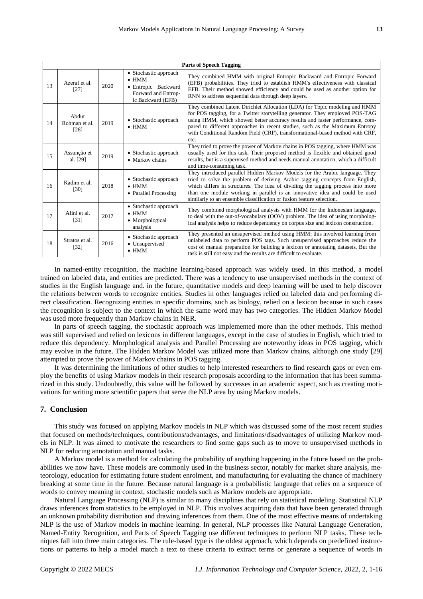|    | <b>Parts of Speech Tagging</b> |      |                                                                                                           |                                                                                                                                                                                                                                                                                                                                                                                                                    |  |  |  |
|----|--------------------------------|------|-----------------------------------------------------------------------------------------------------------|--------------------------------------------------------------------------------------------------------------------------------------------------------------------------------------------------------------------------------------------------------------------------------------------------------------------------------------------------------------------------------------------------------------------|--|--|--|
| 13 | Azeraf et al.<br>[27]          | 2020 | • Stochastic approach<br>$\bullet$ HMM<br>• Entropic Backward<br>Forward and Entrop-<br>ic Backward (EFB) | They combined HMM with original Entropic Backward and Entropic Forward<br>(EFB) probabilities. They tried to establish HMM's effectiveness with classical<br>EFB. Their method showed efficiency and could be used as another option for<br>RNN to address sequential data through deep layers.                                                                                                                    |  |  |  |
| 14 | Abdur<br>Rohman et al.<br>[28] | 2019 | • Stochastic approach<br>$\bullet$ HMM                                                                    | They combined Latent Dirichlet Allocation (LDA) for Topic modeling and HMM<br>for POS tagging, for a Twitter storytelling generator. They employed POS-TAG<br>using HMM, which showed better accuracy results and faster performance, com-<br>pared to different approaches in recent studies, such as the Maximum Entropy<br>with Conditional Random Field (CRF), transformational-based method with CRF,<br>etc. |  |  |  |
| 15 | Assun ção et<br>al. [29]       | 2019 | • Stochastic approach<br>• Markov chains                                                                  | They tried to prove the power of Markov chains in POS tagging, where HMM was<br>usually used for this task. Their proposed method is flexible and obtained good<br>results, but is a supervised method and needs manual annotation, which a difficult<br>and time-consuming task.                                                                                                                                  |  |  |  |
| 16 | Kadim et al.<br>[30]           | 2018 | • Stochastic approach<br>$\bullet$ HMM<br>• Parallel Processing                                           | They introduced parallel Hidden Markov Models for the Arabic language. They<br>tried to solve the problem of deriving Arabic tagging concepts from English,<br>which differs in structures. The idea of dividing the tagging process into more<br>than one module working in parallel is an innovative idea and could be used<br>similarly to an ensemble classification or fusion feature selection.              |  |  |  |
| 17 | Afini et al.<br>[31]           | 2017 | • Stochastic approach<br>$\bullet$ HMM<br>• Morphological<br>analysis                                     | They combined morphological analysis with HMM for the Indonesian language,<br>to deal with the out-of-vocabulary (OOV) problem. The idea of using morpholog-<br>ical analysis helps to reduce dependency on corpus size and lexicon construction.                                                                                                                                                                  |  |  |  |
| 18 | Stratos et al.<br>$[32]$       | 2016 | • Stochastic approach<br>• Unsupervised<br>$\bullet$ HMM                                                  | They presented an unsupervised method using HMM; this involved learning from<br>unlabeled data to perform POS tags. Such unsupervised approaches reduce the<br>cost of manual preparation for building a lexicon or annotating datasets, But the<br>task is still not easy and the results are difficult to evaluate.                                                                                              |  |  |  |

In named-entity recognition, the machine learning-based approach was widely used. In this method, a model trained on labeled data, and entities are predicted. There was a tendency to use unsupervised methods in the context of studies in the English language and. in the future, quantitative models and deep learning will be used to help discover the relations between words to recognize entities. Studies in other languages relied on labeled data and performing direct classification. Recognizing entities in specific domains, such as biology, relied on a lexicon because in such cases the recognition is subject to the context in which the same word may has two categories. The Hidden Markov Model was used more frequently than Markov chains in NER.

In parts of speech tagging, the stochastic approach was implemented more than the other methods. This method was still supervised and relied on lexicons in different languages, except in the case of studies in English, which tried to reduce this dependency. Morphological analysis and Parallel Processing are noteworthy ideas in POS tagging, which may evolve in the future. The Hidden Markov Model was utilized more than Markov chains, although one study [29] attempted to prove the power of Markov chains in POS tagging.

It was determining the limitations of other studies to help interested researchers to find research gaps or even employ the benefits of using Markov models in their research proposals according to the information that has been summarized in this study. Undoubtedly, this value will be followed by successes in an academic aspect, such as creating motivations for writing more scientific papers that serve the NLP area by using Markov models.

## **7. Conclusion**

This study was focused on applying Markov models in NLP which was discussed some of the most recent studies that focused on methods/techniques, contributions/advantages, and limitations/disadvantages of utilizing Markov models in NLP. It was aimed to motivate the researchers to find some gaps such as to move to unsupervised methods in NLP for reducing annotation and manual tasks.

A Markov model is a method for calculating the probability of anything happening in the future based on the probabilities we now have. These models are commonly used in the business sector, notably for market share analysis, meteorology, education for estimating future student enrolment, and manufacturing for evaluating the chance of machinery breaking at some time in the future. Because natural language is a probabilistic language that relies on a sequence of words to convey meaning in context, stochastic models such as Markov models are appropriate.

Natural Language Processing (NLP) is similar to many disciplines that rely on statistical modeling. Statistical NLP draws inferences from statistics to be employed in NLP. This involves acquiring data that have been generated through an unknown probability distribution and drawing inferences from them. One of the most effective means of undertaking NLP is the use of Markov models in machine learning. In general, NLP processes like Natural Language Generation, Named-Entity Recognition, and Parts of Speech Tagging use different techniques to perform NLP tasks. These techniques fall into three main categories. The rule-based type is the oldest approach, which depends on predefined instructions or patterns to help a model match a text to these criteria to extract terms or generate a sequence of words in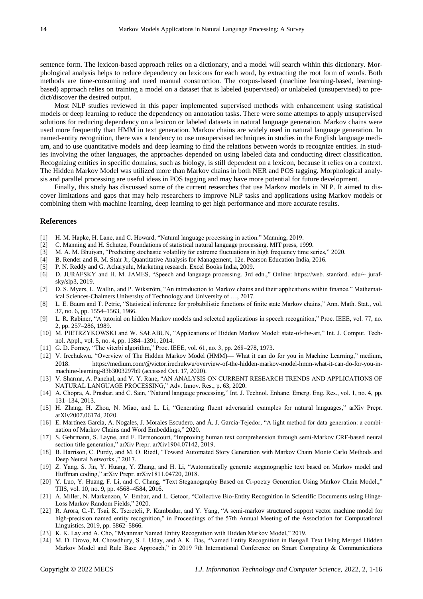sentence form. The lexicon-based approach relies on a dictionary, and a model will search within this dictionary. Morphological analysis helps to reduce dependency on lexicons for each word, by extracting the root form of words. Both methods are time-consuming and need manual construction. The corpus-based (machine learning-based, learningbased) approach relies on training a model on a dataset that is labeled (supervised) or unlabeled (unsupervised) to predict/discover the desired output.

Most NLP studies reviewed in this paper implemented supervised methods with enhancement using statistical models or deep learning to reduce the dependency on annotation tasks. There were some attempts to apply unsupervised solutions for reducing dependency on a lexicon or labeled datasets in natural language generation. Markov chains were used more frequently than HMM in text generation. Markov chains are widely used in natural language generation. In named-entity recognition, there was a tendency to use unsupervised techniques in studies in the English language medium, and to use quantitative models and deep learning to find the relations between words to recognize entities. In studies involving the other languages, the approaches depended on using labeled data and conducting direct classification. Recognizing entities in specific domains, such as biology, is still dependent on a lexicon, because it relies on a context. The Hidden Markov Model was utilized more than Markov chains in both NER and POS tagging. Morphological analysis and parallel processing are useful ideas in POS tagging and may have more potential for future development.

Finally, this study has discussed some of the current researches that use Markov models in NLP. It aimed to discover limitations and gaps that may help researchers to improve NLP tasks and applications using Markov models or combining them with machine learning, deep learning to get high performance and more accurate results.

## **References**

- [1] H. M. Hapke, H. Lane, and C. Howard, "Natural language processing in action." Manning, 2019.
- [2] C. Manning and H. Schutze, Foundations of statistical natural language processing. MIT press, 1999.
- [3] M. A. M. Bhuiyan, "Predicting stochastic volatility for extreme fluctuations in high frequency time series," 2020.
- [4] B. Render and R. M. Stair Jr, Quantitative Analysis for Management, 12e. Pearson Education India, 2016.
- [5] P. N. Reddy and G. Acharyulu, Marketing research. Excel Books India, 2009.
- [6] D. JURAFSKY and H. M. JAMES, "Speech and language processing. 3rd edn.," Online: https://web. stanford. edu/~ jurafsky/slp3, 2019.
- [7] D. S. Myers, L. Wallin, and P. Wikström, "An introduction to Markov chains and their applications within finance." Mathematical Sciences-Chalmers University of Technology and University of …, 2017.
- [8] L. E. Baum and T. Petrie, "Statistical inference for probabilistic functions of finite state Markov chains," Ann. Math. Stat., vol. 37, no. 6, pp. 1554–1563, 1966.
- [9] L. R. Rabiner, "A tutorial on hidden Markov models and selected applications in speech recognition," Proc. IEEE, vol. 77, no. 2, pp. 257–286, 1989.
- [10] M. PIETRZYKOWSKI and W. SAŁABUN, "Applications of Hidden Markov Model: state-of-the-art," Int. J. Comput. Technol. Appl., vol. 5, no. 4, pp. 1384–1391, 2014.
- [11] G. D. Forney, "The viterbi algorithm," Proc. IEEE, vol. 61, no. 3, pp. 268–278, 1973.
- [12] V. Irechukwu, "Overview of The Hidden Markov Model (HMM)— What it can do for you in Machine Learning," medium, 2018. https://medium.com/@victor.irechukwu/overview-of-the-hidden-markov-model-hmm-what-it-can-do-for-you-inmachine-learning-83b3003297b9 (accessed Oct. 17, 2020).
- [13] V. Sharma, A. Panchal, and V. Y. Rane, "AN ANALYSIS ON CURRENT RESEARCH TRENDS AND APPLICATIONS OF NATURAL LANGUAGE PROCESSING," Adv. Innov. Res., p. 63, 2020.
- [14] A. Chopra, A. Prashar, and C. Sain, "Natural language processing," Int. J. Technol. Enhanc. Emerg. Eng. Res., vol. 1, no. 4, pp. 131–134, 2013.
- [15] H. Zhang, H. Zhou, N. Miao, and L. Li, "Generating fluent adversarial examples for natural languages," arXiv Prepr. arXiv2007.06174, 2020.
- [16] E. Martínez Garcia, A. Nogales, J. Morales Escudero, and Á. J. Garcia-Tejedor, "A light method for data generation: a combination of Markov Chains and Word Embeddings," 2020.
- [17] S. Gehrmann, S. Layne, and F. Dernoncourt, "Improving human text comprehension through semi-Markov CRF-based neural section title generation," arXiv Prepr. arXiv1904.07142, 2019.
- [18] B. Harrison, C. Purdy, and M. O. Riedl, "Toward Automated Story Generation with Markov Chain Monte Carlo Methods and Deep Neural Networks.," 2017.
- [19] Z. Yang, S. Jin, Y. Huang, Y. Zhang, and H. Li, "Automatically generate steganographic text based on Markov model and Huffman coding," arXiv Prepr. arXiv1811.04720, 2018.
- [20] Y. Luo, Y. Huang, F. Li, and C. Chang, "Text Steganography Based on Ci-poetry Generation Using Markov Chain Model.," TIIS, vol. 10, no. 9, pp. 4568–4584, 2016.
- [21] A. Miller, N. Markenzon, V. Embar, and L. Getoor, "Collective Bio-Entity Recognition in Scientific Documents using Hinge-Loss Markov Random Fields," 2020.
- [22] R. Arora, C.-T. Tsai, K. Tsereteli, P. Kambadur, and Y. Yang, "A semi-markov structured support vector machine model for high-precision named entity recognition," in Proceedings of the 57th Annual Meeting of the Association for Computational Linguistics, 2019, pp. 5862–5866.
- [23] K. K. Lay and A. Cho, "Myanmar Named Entity Recognition with Hidden Markov Model," 2019.
- [24] M. D. Drovo, M. Chowdhury, S. I. Uday, and A. K. Das, "Named Entity Recognition in Bengali Text Using Merged Hidden Markov Model and Rule Base Approach," in 2019 7th International Conference on Smart Computing & Communications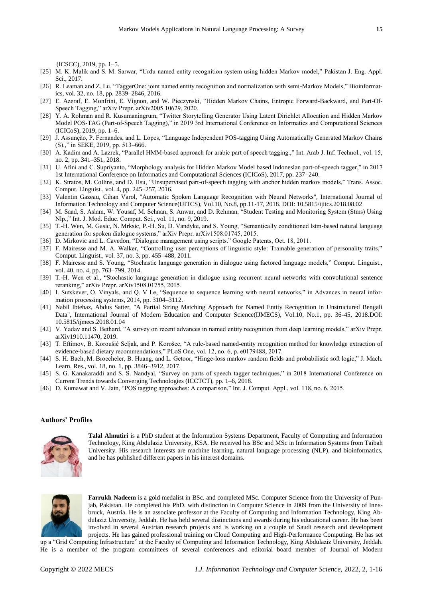(ICSCC), 2019, pp. 1–5.

- [25] M. K. Malik and S. M. Sarwar, "Urdu named entity recognition system using hidden Markov model," Pakistan J. Eng. Appl. Sci., 2017.
- [26] R. Leaman and Z. Lu, "TaggerOne: joint named entity recognition and normalization with semi-Markov Models," Bioinformatics, vol. 32, no. 18, pp. 2839–2846, 2016.
- [27] E. Azeraf, E. Monfrini, E. Vignon, and W. Pieczynski, "Hidden Markov Chains, Entropic Forward-Backward, and Part-Of-Speech Tagging," arXiv Prepr. arXiv2005.10629, 2020.
- [28] Y. A. Rohman and R. Kusumaningrum, "Twitter Storytelling Generator Using Latent Dirichlet Allocation and Hidden Markov Model POS-TAG (Part-of-Speech Tagging)," in 2019 3rd International Conference on Informatics and Computational Sciences (ICICoS), 2019, pp. 1–6.
- [29] J. Assunção, P. Fernandes, and L. Lopes, "Language Independent POS-tagging Using Automatically Generated Markov Chains (S).," in SEKE, 2019, pp. 513–666.
- [30] A. Kadim and A. Lazrek, "Parallel HMM-based approach for arabic part of speech tagging.," Int. Arab J. Inf. Technol., vol. 15, no. 2, pp. 341–351, 2018.
- [31] U. Afini and C. Supriyanto, "Morphology analysis for Hidden Markov Model based Indonesian part-of-speech tagger," in 2017 1st International Conference on Informatics and Computational Sciences (ICICoS), 2017, pp. 237–240.
- [32] K. Stratos, M. Collins, and D. Hsu, "Unsupervised part-of-speech tagging with anchor hidden markov models," Trans. Assoc. Comput. Linguist., vol. 4, pp. 245–257, 2016.
- [33] Valentin Gazeau, Cihan Varol, "Automatic Spoken Language Recognition with Neural Networks", International Journal of Information Technology and Computer Science(IJITCS), Vol.10, No.8, pp.11-17, 2018. DOI: 10.5815/ijitcs.2018.08.02
- [34] M. Saad, S. Aslam, W. Yousaf, M. Sehnan, S. Anwar, and D. Rehman, "Student Testing and Monitoring System (Stms) Using Nlp.," Int. J. Mod. Educ. Comput. Sci., vol. 11, no. 9, 2019.
- [35] T.-H. Wen, M. Gasic, N. Mrksic, P.-H. Su, D. Vandyke, and S. Young, "Semantically conditioned lstm-based natural language generation for spoken dialogue systems," arXiv Prepr. arXiv1508.01745, 2015.
- [36] D. Mirkovic and L. Cavedon, "Dialogue management using scripts." Google Patents, Oct. 18, 2011.
- [37] F. Mairesse and M. A. Walker, "Controlling user perceptions of linguistic style: Trainable generation of personality traits," Comput. Linguist., vol. 37, no. 3, pp. 455–488, 2011.
- [38] F. Mairesse and S. Young, "Stochastic language generation in dialogue using factored language models," Comput. Linguist., vol. 40, no. 4, pp. 763–799, 2014.
- [39] T.-H. Wen et al., "Stochastic language generation in dialogue using recurrent neural networks with convolutional sentence reranking," arXiv Prepr. arXiv1508.01755, 2015.
- [40] I. Sutskever, O. Vinyals, and Q. V Le, "Sequence to sequence learning with neural networks," in Advances in neural information processing systems, 2014, pp. 3104–3112.
- [41] Nabil Ibtehaz, Abdus Satter, "A Partial String Matching Approach for Named Entity Recognition in Unstructured Bengali Data", International Journal of Modern Education and Computer Science(IJMECS), Vol.10, No.1, pp. 36-45, 2018.DOI: 10.5815/ijmecs.2018.01.04
- [42] V. Yadav and S. Bethard, "A survey on recent advances in named entity recognition from deep learning models," arXiv Prepr. arXiv1910.11470, 2019.
- [43] T. Eftimov, B. Koroušić Seljak, and P. Korošec, "A rule-based named-entity recognition method for knowledge extraction of evidence-based dietary recommendations," PLoS One, vol. 12, no. 6, p. e0179488, 2017.
- [44] S. H. Bach, M. Broecheler, B. Huang, and L. Getoor, "Hinge-loss markov random fields and probabilistic soft logic," J. Mach. Learn. Res., vol. 18, no. 1, pp. 3846–3912, 2017.
- [45] S. G. Kanakaraddi and S. S. Nandyal, "Survey on parts of speech tagger techniques," in 2018 International Conference on Current Trends towards Converging Technologies (ICCTCT), pp. 1–6, 2018.
- [46] D. Kumawat and V. Jain, "POS tagging approaches: A comparison," Int. J. Comput. Appl., vol. 118, no. 6, 2015.

## **Authors' Profiles**



**Talal Almutiri** is a PhD student at the Information Systems Department, Faculty of Computing and Information Technology, King Abdulaziz University, KSA. He received his BSc and MSc in Information Systems from Taibah University. His research interests are machine learning, natural language processing (NLP), and bioinformatics, and he has published different papers in his interest domains.



**Farrukh Nadeem** is a gold medalist in BSc. and completed MSc. Computer Science from the University of Punjab, Pakistan. He completed his PhD. with distinction in Computer Science in 2009 from the University of Innsbruck, Austria. He is an associate professor at the Faculty of Computing and Information Technology, King Abdulaziz University, Jeddah. He has held several distinctions and awards during his educational career. He has been involved in several Austrian research projects and is working on a couple of Saudi research and development projects. He has gained professional training on Cloud Computing and High-Performance Computing. He has set

up a "Grid Computing Infrastructure" at the Faculty of Computing and Information Technology, King Abdulaziz University, Jeddah. He is a member of the program committees of several conferences and editorial board member of Journal of Modern